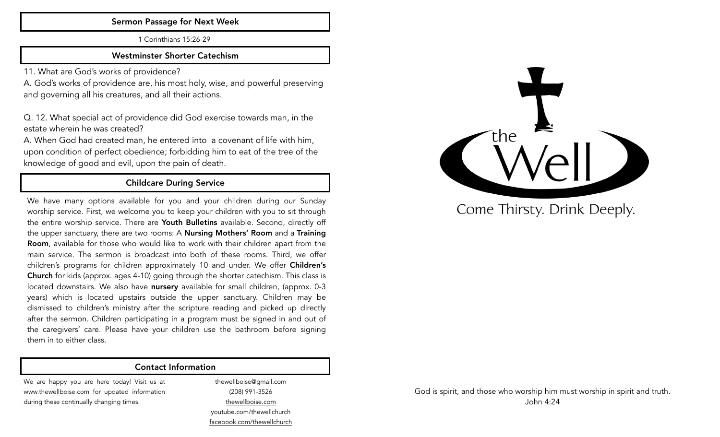#### Sermon Passage for Next Week

1 Corinthians 15:26-29

#### Westminster Shorter Catechism

11. What are God's works of providence?

A. God's works of providence are, his most holy, wise, and powerful preserving and governing all his creatures, and all their actions.

Q. 12. What special act of providence did God exercise towards man, in the estate wherein he was created?

A. When God had created man, he entered into a covenant of life with him, upon condition of perfect obedience; forbidding him to eat of the tree of the knowledge of good and evil, upon the pain of death.

# Childcare During Service

We have many options available for you and your children during our Sunday worship service. First, we welcome you to keep your children with you to sit through the entire worship service. There are Youth Bulletins available. Second, directly off the upper sanctuary, there are two rooms: A **Nursing Mothers' Room** and a Training Room, available for those who would like to work with their children apart from the main service. The sermon is broadcast into both of these rooms. Third, we offer children's programs for children approximately 10 and under. We offer **Children's** Church for kids (approx. ages 4-10) going through the shorter catechism. This class is located downstairs. We also have nursery available for small children, (approx. 0-3 years) which is located upstairs outside the upper sanctuary. Children may be dismissed to children's ministry after the scripture reading and picked up directly after the sermon. Children participating in a program must be signed in and out of the caregivers' care. Please have your children use the bathroom before signing them in to either class.

#### Contact Information

We are happy you are here today! Visit us at [www.thewellboise.com](http://www.thewellboise.com) for updated information during these continually changing times.

thewellboise@gmail.com (208) 991-3526 [thewellboise.com](http://thewellboise.com) youtube.com/thewellchurch [facebook.com/thewellchurch](http://facebook.com/thewellchurch)



Come Thirsty. Drink Deeply.

God is spirit, and those who worship him must worship in spirit and truth. John 4:24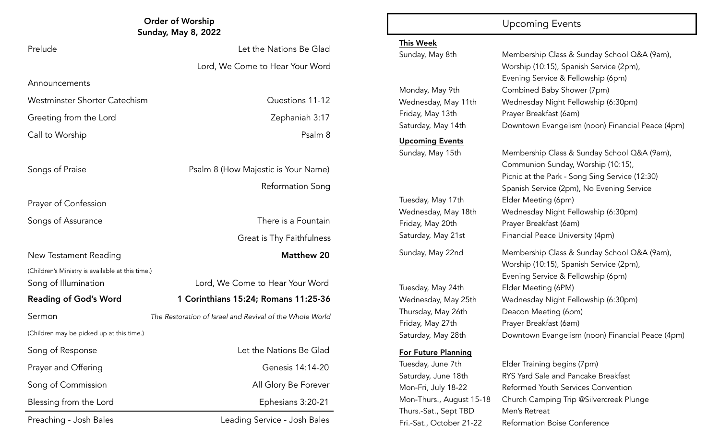| <b>Order of Worship</b><br><b>Sunday, May 8, 2022</b>                    |                                                          |                                                               | <b>Upcoming Events</b>                                                                                                                                                                                                                                                                         |
|--------------------------------------------------------------------------|----------------------------------------------------------|---------------------------------------------------------------|------------------------------------------------------------------------------------------------------------------------------------------------------------------------------------------------------------------------------------------------------------------------------------------------|
| Prelude                                                                  | Let the Nations Be Glad                                  | <b>This Week</b><br>Sunday, May 8th                           | Membership Class & S<br>Worship (10:15), Spani<br>Evening Service & Fell<br>Combined Baby Show<br>Wednesday Night Fell<br>Prayer Breakfast (6am)<br>Downtown Evangelism                                                                                                                        |
|                                                                          | Lord, We Come to Hear Your Word                          |                                                               |                                                                                                                                                                                                                                                                                                |
| Announcements                                                            |                                                          | Monday, May 9th                                               |                                                                                                                                                                                                                                                                                                |
| Westminster Shorter Catechism                                            | Questions 11-12                                          | Wednesday, May 11th<br>Friday, May 13th<br>Saturday, May 14th |                                                                                                                                                                                                                                                                                                |
| Greeting from the Lord                                                   | Zephaniah 3:17                                           |                                                               |                                                                                                                                                                                                                                                                                                |
| Call to Worship                                                          | Psalm 8                                                  |                                                               |                                                                                                                                                                                                                                                                                                |
|                                                                          |                                                          | <b>Upcoming Events</b><br>Sunday, May 15th                    | Membership Class & S                                                                                                                                                                                                                                                                           |
| Songs of Praise                                                          | Psalm 8 (How Majestic is Your Name)                      |                                                               | Communion Sunday, V<br>Picnic at the Park - Sor                                                                                                                                                                                                                                                |
|                                                                          | <b>Reformation Song</b>                                  |                                                               | Spanish Service (2pm),                                                                                                                                                                                                                                                                         |
| Prayer of Confession                                                     |                                                          | Tuesday, May 17th                                             | Elder Meeting (6pm)                                                                                                                                                                                                                                                                            |
| Songs of Assurance                                                       | There is a Fountain                                      | Wednesday, May 18th<br>Friday, May 20th                       | Wednesday Night Fell<br>Prayer Breakfast (6am)                                                                                                                                                                                                                                                 |
|                                                                          | Great is Thy Faithfulness                                | Saturday, May 21st                                            | <b>Financial Peace Univer</b>                                                                                                                                                                                                                                                                  |
|                                                                          |                                                          | Sunday, May 22nd                                              | Membership Class & S                                                                                                                                                                                                                                                                           |
| New Testament Reading                                                    | <b>Matthew 20</b>                                        |                                                               | Worship (10:15), Spani                                                                                                                                                                                                                                                                         |
| (Children's Ministry is available at this time.)<br>Song of Illumination | Lord, We Come to Hear Your Word                          |                                                               | Evening Service & Fell<br>Elder Meeting (6PM)                                                                                                                                                                                                                                                  |
|                                                                          |                                                          | Tuesday, May 24th                                             |                                                                                                                                                                                                                                                                                                |
| <b>Reading of God's Word</b>                                             | 1 Corinthians 15:24; Romans 11:25-36                     | Wednesday, May 25th<br>Thursday, May 26th                     | Wednesday Night Fell<br>Deacon Meeting (6pm                                                                                                                                                                                                                                                    |
| Sermon                                                                   | The Restoration of Israel and Revival of the Whole World | Friday, May 27th                                              | Prayer Breakfast (6am)                                                                                                                                                                                                                                                                         |
| (Children may be picked up at this time.)                                |                                                          | Saturday, May 28th                                            | Downtown Evangelism                                                                                                                                                                                                                                                                            |
| Song of Response                                                         | Let the Nations Be Glad                                  | <b>For Future Planning</b>                                    | Tuesday, June 7th<br>Elder Training begins (<br>Saturday, June 18th<br>RYS Yard Sale and Pan<br>Mon-Fri, July 18-22<br>Reformed Youth Servic<br>Mon-Thurs., August 15-18<br>Church Camping Trip<br>Thurs.-Sat., Sept TBD<br>Men's Retreat<br>Fri.-Sat., October 21-22<br>Reformation Boise Cor |
| Prayer and Offering                                                      | Genesis 14:14-20                                         |                                                               |                                                                                                                                                                                                                                                                                                |
| Song of Commission                                                       | All Glory Be Forever                                     |                                                               |                                                                                                                                                                                                                                                                                                |
| Blessing from the Lord                                                   | Ephesians 3:20-21                                        |                                                               |                                                                                                                                                                                                                                                                                                |
| Preaching - Josh Bales                                                   | Leading Service - Josh Bales                             |                                                               |                                                                                                                                                                                                                                                                                                |
|                                                                          |                                                          |                                                               |                                                                                                                                                                                                                                                                                                |

#### This Week

#### For Future Planning

Sunday, May 8th Membership Class & Sunday School Q&A (9am), Worship (10:15), Spanish Service (2pm), Evening Service & Fellowship (6pm) Monday, May 9th Combined Baby Shower (7pm) Wednesday, May 11th Wednesday Night Fellowship (6:30pm) Saturday, May 14th Downtown Evangelism (noon) Financial Peace (4pm)

Sunday, May 15th Membership Class & Sunday School Q&A (9am), Communion Sunday, Worship (10:15), Picnic at the Park - Song Sing Service (12:30) Spanish Service (2pm), No Evening Service Wednesday, May 18th Wednesday Night Fellowship (6:30pm) Saturday, May 21st Financial Peace University (4pm) Sunday, May 22nd Membership Class & Sunday School Q&A (9am),

Worship (10:15), Spanish Service (2pm), Evening Service & Fellowship (6pm) Tuesday, May 24th Elder Meeting (6PM) Wednesday, May 25th Wednesday Night Fellowship (6:30pm) Thursday, May 26th Deacon Meeting (6pm) Friday, May 27th Prayer Breakfast (6am) Saturday, May 28th Downtown Evangelism (noon) Financial Peace (4pm)

Tuesday, June 7th Elder Training begins (7pm) Saturday, June 18th RYS Yard Sale and Pancake Breakfast Mon-Fri, July 18-22 Reformed Youth Services Convention Mon-Thurs., August 15-18 Church Camping Trip @Silvercreek Plunge Fri.-Sat., October 21-22 Reformation Boise Conference

# Great is Thy Faithfulness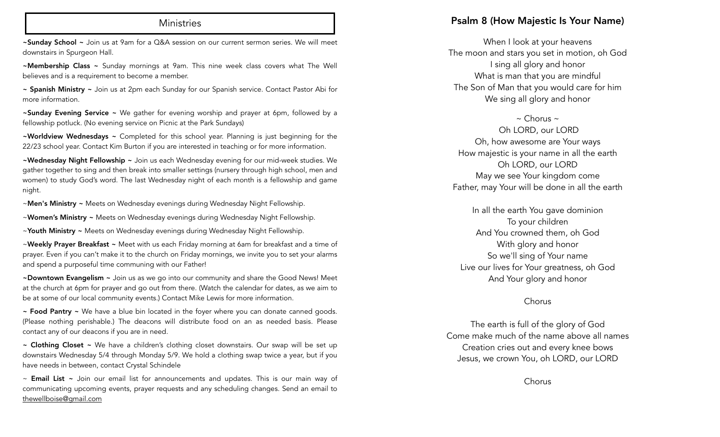#### **Ministries**

~Sunday School ~ Join us at 9am for a Q&A session on our current sermon series. We will meet downstairs in Spurgeon Hall.

~Membership Class ~ Sunday mornings at 9am. This nine week class covers what The Well believes and is a requirement to become a member.

~ Spanish Ministry ~ Join us at 2pm each Sunday for our Spanish service. Contact Pastor Abi for more information.

~Sunday Evening Service ~ We gather for evening worship and prayer at 6pm, followed by a fellowship potluck. (No evening service on Picnic at the Park Sundays)

~Worldview Wednesdays ~ Completed for this school year. Planning is just beginning for the 22/23 school year. Contact Kim Burton if you are interested in teaching or for more information.

~Wednesday Night Fellowship ~ Join us each Wednesday evening for our mid-week studies. We gather together to sing and then break into smaller settings (nursery through high school, men and women) to study God's word. The last Wednesday night of each month is a fellowship and game night.

~Men's Ministry ~ Meets on Wednesday evenings during Wednesday Night Fellowship.

~Women's Ministry ~ Meets on Wednesday evenings during Wednesday Night Fellowship.

~Youth Ministry ~ Meets on Wednesday evenings during Wednesday Night Fellowship.

~Weekly Prayer Breakfast ~ Meet with us each Friday morning at 6am for breakfast and a time of prayer. Even if you can't make it to the church on Friday mornings, we invite you to set your alarms and spend a purposeful time communing with our Father!

~Downtown Evangelism ~ Join us as we go into our community and share the Good News! Meet at the church at 6pm for prayer and go out from there. (Watch the calendar for dates, as we aim to be at some of our local community events.) Contact Mike Lewis for more information.

~ Food Pantry ~ We have a blue bin located in the foyer where you can donate canned goods. (Please nothing perishable.) The deacons will distribute food on an as needed basis. Please contact any of our deacons if you are in need.

~ Clothing Closet ~ We have a children's clothing closet downstairs. Our swap will be set up downstairs Wednesday 5/4 through Monday 5/9. We hold a clothing swap twice a year, but if you have needs in between, contact Crystal Schindele

 $\sim$  Email List  $\sim$  Join our email list for announcements and updates. This is our main way of communicating upcoming events, prayer requests and any scheduling changes. Send an email to [thewellboise@gmail.com](mailto:thewellboise@gmail.com)

#### Psalm 8 (How Majestic Is Your Name)

When I look at your heavens The moon and stars you set in motion, oh God I sing all glory and honor What is man that you are mindful The Son of Man that you would care for him We sing all glory and honor

 $\sim$  Chorus  $\sim$ 

 Oh LORD, our LORD Oh, how awesome are Your ways How majestic is your name in all the earth Oh LORD, our LORD May we see Your kingdom come Father, may Your will be done in all the earth

In all the earth You gave dominion To your children And You crowned them, oh God With glory and honor So we'll sing of Your name Live our lives for Your greatness, oh God And Your glory and honor

#### Chorus

The earth is full of the glory of God Come make much of the name above all names Creation cries out and every knee bows Jesus, we crown You, oh LORD, our LORD

Chorus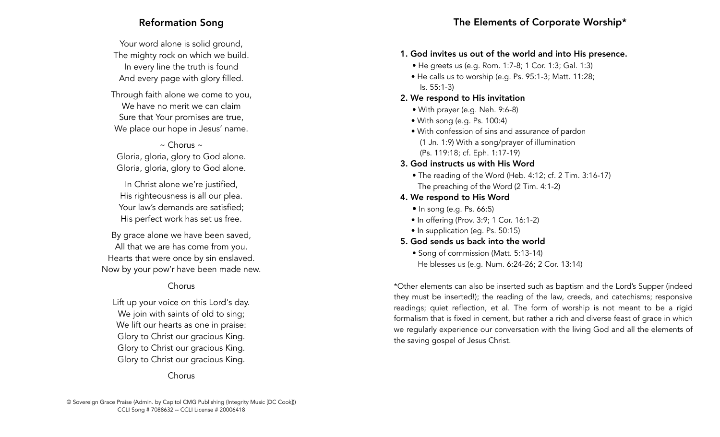# Reformation Song

Your word alone is solid ground, The mighty rock on which we build. In every line the truth is found And every page with glory filled.

Through faith alone we come to you, We have no merit we can claim Sure that Your promises are true, We place our hope in Jesus' name.

 $\sim$  Chorus  $\sim$ Gloria, gloria, glory to God alone. Gloria, gloria, glory to God alone.

In Christ alone we're justified, His righteousness is all our plea. Your law's demands are satisfied; His perfect work has set us free.

By grace alone we have been saved, All that we are has come from you. Hearts that were once by sin enslaved. Now by your pow'r have been made new.

## Chorus

Lift up your voice on this Lord's day. We join with saints of old to sing; We lift our hearts as one in praise: Glory to Christ our gracious King. Glory to Christ our gracious King. Glory to Christ our gracious King.

Chorus

# 1. God invites us out of the world and into His presence.

- He greets us (e.g. Rom. 1:7-8; 1 Cor. 1:3; Gal. 1:3)
- He calls us to worship (e.g. Ps. 95:1-3; Matt. 11:28; Is. 55:1-3)

# 2. We respond to His invitation

- With prayer (e.g. Neh. 9:6-8)
- With song (e.g. Ps. 100:4)
- With confession of sins and assurance of pardon (1 Jn. 1:9) With a song/prayer of illumination (Ps. 119:18; cf. Eph. 1:17-19)
- 3. God instructs us with His Word
	- The reading of the Word (Heb. 4:12; cf. 2 Tim. 3:16-17) The preaching of the Word (2 Tim. 4:1-2)
- 4. We respond to His Word
	- In song (e.g. Ps. 66:5)
	- In offering (Prov. 3:9; 1 Cor. 16:1-2)
	- In supplication (eg. Ps. 50:15)
- 5. God sends us back into the world
	- Song of commission (Matt. 5:13-14) He blesses us (e.g. Num. 6:24-26; 2 Cor. 13:14)

\*Other elements can also be inserted such as baptism and the Lord's Supper (indeed they must be inserted!); the reading of the law, creeds, and catechisms; responsive readings; quiet reflection, et al. The form of worship is not meant to be a rigid formalism that is fixed in cement, but rather a rich and diverse feast of grace in which we regularly experience our conversation with the living God and all the elements of the saving gospel of Jesus Christ.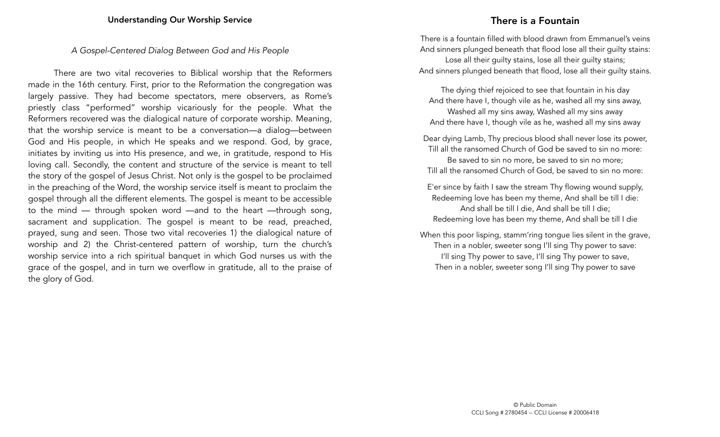#### *A Gospel-Centered Dialog Between God and His People*

There are two vital recoveries to Biblical worship that the Reformers made in the 16th century. First, prior to the Reformation the congregation was largely passive. They had become spectators, mere observers, as Rome's priestly class "performed" worship vicariously for the people. What the Reformers recovered was the dialogical nature of corporate worship. Meaning, that the worship service is meant to be a conversation—a dialog—between God and His people, in which He speaks and we respond. God, by grace, initiates by inviting us into His presence, and we, in gratitude, respond to His loving call. Secondly, the content and structure of the service is meant to tell the story of the gospel of Jesus Christ. Not only is the gospel to be proclaimed in the preaching of the Word, the worship service itself is meant to proclaim the gospel through all the different elements. The gospel is meant to be accessible to the mind — through spoken word —and to the heart —through song, sacrament and supplication. The gospel is meant to be read, preached, prayed, sung and seen. Those two vital recoveries 1) the dialogical nature of worship and 2) the Christ-centered pattern of worship, turn the church's worship service into a rich spiritual banquet in which God nurses us with the grace of the gospel, and in turn we overflow in gratitude, all to the praise of the glory of God.

# There is a Fountain

There is a fountain filled with blood drawn from Emmanuel's veins And sinners plunged beneath that flood lose all their guilty stains: Lose all their guilty stains, lose all their guilty stains; And sinners plunged beneath that flood, lose all their guilty stains.

The dying thief rejoiced to see that fountain in his day And there have I, though vile as he, washed all my sins away, Washed all my sins away, Washed all my sins away And there have I, though vile as he, washed all my sins away

Dear dying Lamb, Thy precious blood shall never lose its power, Till all the ransomed Church of God be saved to sin no more: Be saved to sin no more, be saved to sin no more; Till all the ransomed Church of God, be saved to sin no more:

E'er since by faith I saw the stream Thy flowing wound supply, Redeeming love has been my theme, And shall be till I die: And shall be till I die, And shall be till I die; Redeeming love has been my theme, And shall be till I die

When this poor lisping, stamm'ring tongue lies silent in the grave, Then in a nobler, sweeter song I'll sing Thy power to save: I'll sing Thy power to save, I'll sing Thy power to save, Then in a nobler, sweeter song I'll sing Thy power to save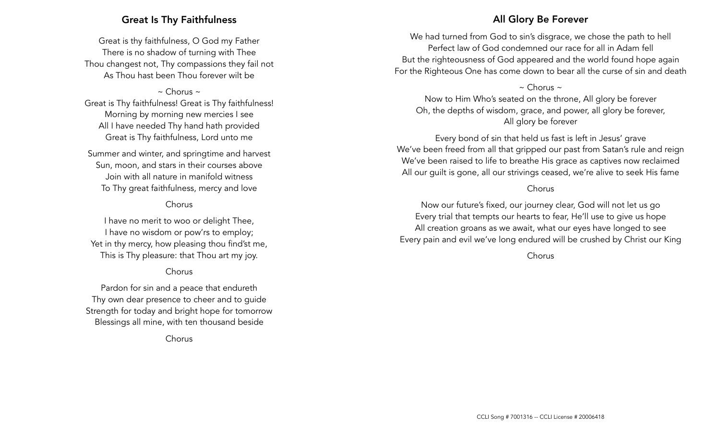# Great Is Thy Faithfulness

Great is thy faithfulness, O God my Father There is no shadow of turning with Thee Thou changest not, Thy compassions they fail not As Thou hast been Thou forever wilt be

 $\sim$  Chorus  $\sim$ Great is Thy faithfulness! Great is Thy faithfulness! Morning by morning new mercies I see All I have needed Thy hand hath provided Great is Thy faithfulness, Lord unto me

Summer and winter, and springtime and harvest Sun, moon, and stars in their courses above Join with all nature in manifold witness To Thy great faithfulness, mercy and love

## Chorus

I have no merit to woo or delight Thee, I have no wisdom or pow'rs to employ; Yet in thy mercy, how pleasing thou find'st me, This is Thy pleasure: that Thou art my joy.

#### Chorus

Pardon for sin and a peace that endureth Thy own dear presence to cheer and to guide Strength for today and bright hope for tomorrow Blessings all mine, with ten thousand beside

Chorus

# All Glory Be Forever

We had turned from God to sin's disgrace, we chose the path to hell Perfect law of God condemned our race for all in Adam fell But the righteousness of God appeared and the world found hope again For the Righteous One has come down to bear all the curse of sin and death

 $\sim$  Chorus  $\sim$ 

Now to Him Who's seated on the throne, All glory be forever Oh, the depths of wisdom, grace, and power, all glory be forever, All glory be forever

Every bond of sin that held us fast is left in Jesus' grave We've been freed from all that gripped our past from Satan's rule and reign We've been raised to life to breathe His grace as captives now reclaimed All our guilt is gone, all our strivings ceased, we're alive to seek His fame

#### Chorus

Now our future's fixed, our journey clear, God will not let us go Every trial that tempts our hearts to fear, He'll use to give us hope All creation groans as we await, what our eyes have longed to see Every pain and evil we've long endured will be crushed by Christ our King

Chorus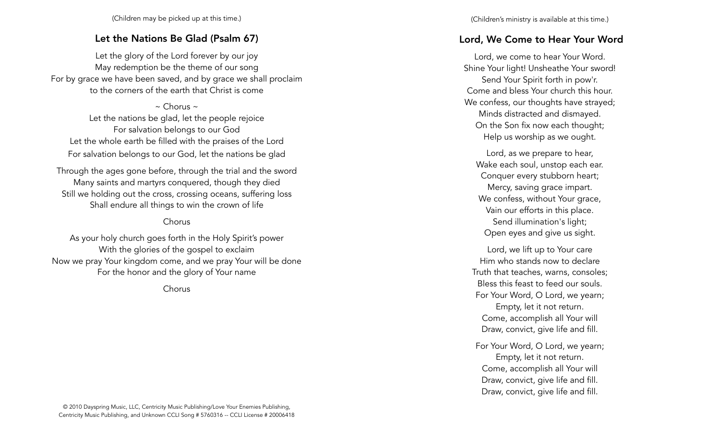(Children may be picked up at this time.)

# Let the Nations Be Glad (Psalm 67)

Let the glory of the Lord forever by our joy May redemption be the theme of our song For by grace we have been saved, and by grace we shall proclaim to the corners of the earth that Christ is come

 $\sim$  Chorus  $\sim$ Let the nations be glad, let the people rejoice For salvation belongs to our God Let the whole earth be filled with the praises of the Lord For salvation belongs to our God, let the nations be glad

Through the ages gone before, through the trial and the sword Many saints and martyrs conquered, though they died Still we holding out the cross, crossing oceans, suffering loss Shall endure all things to win the crown of life

# Chorus

As your holy church goes forth in the Holy Spirit's power With the glories of the gospel to exclaim Now we pray Your kingdom come, and we pray Your will be done For the honor and the glory of Your name

Chorus

# Lord, We Come to Hear Your Word

Lord, we come to hear Your Word. Shine Your light! Unsheathe Your sword! Send Your Spirit forth in pow'r. Come and bless Your church this hour. We confess, our thoughts have strayed; Minds distracted and dismayed. On the Son fix now each thought; Help us worship as we ought.

Lord, as we prepare to hear, Wake each soul, unstop each ear. Conquer every stubborn heart; Mercy, saving grace impart. We confess, without Your grace, Vain our efforts in this place. Send illumination's light; Open eyes and give us sight.

Lord, we lift up to Your care Him who stands now to declare Truth that teaches, warns, consoles; Bless this feast to feed our souls. For Your Word, O Lord, we yearn; Empty, let it not return. Come, accomplish all Your will Draw, convict, give life and fill.

For Your Word, O Lord, we yearn; Empty, let it not return. Come, accomplish all Your will Draw, convict, give life and fill. Draw, convict, give life and fill.